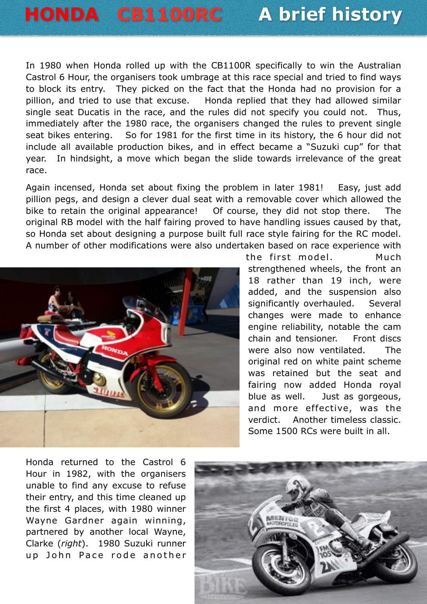## **HONDA CB1100RC A brief history**

In 1980 when Honda rolled up with the CB1100R specifically to win the Australian Castrol 6 Hour, the organisers took umbrage at this race special and tried to find ways to block its entry. They picked on the fact that the Honda had no provision for a pillion, and tried to use that excuse. Honda replied that they had allowed similar single seat Ducatis in the race, and the rules did not specify you could not. Thus, immediately after the 1980 race, the organisers changed the rules to prevent single seat bikes entering. So for 1981 for the first time in its history, the 6 hour did not include all available production bikes, and in effect became a "Suzuki cup" for that year. In hindsight, a move which began the slide towards irrelevance of the great race.

Again incensed, Honda set about fixing the problem in later 1981! Easy, just add pillion pegs, and design a clever dual seat with a removable cover which allowed the bike to retain the original appearance! Of course, they did not stop there. The original RB model with the half fairing proved to have handling issues caused by that, so Honda set about designing a purpose built full race style fairing for the RC model. A number of other modifications were also undertaken based on race experience with



the first model. Much strengthened wheels, the front an 18 rather than 19 inch, were added, and the suspension also significantly overhauled. Several changes were made to enhance engine reliability, notable the cam chain and tensioner. Front discs were also now ventilated. The original red on white paint scheme was retained but the seat and fairing now added Honda royal blue as well. Just as gorgeous, and more effective, was the verdict. Another timeless classic. Some 1500 RCs were built in all.

Honda returned to the Castrol 6 Hour in 1982, with the organisers unable to find any excuse to refuse their entry, and this time cleaned up the first 4 places, with 1980 winner Wayne Gardner again winning, partnered by another local Wayne, Clarke (*right*). 1980 Suzuki runner up John Pace rode another